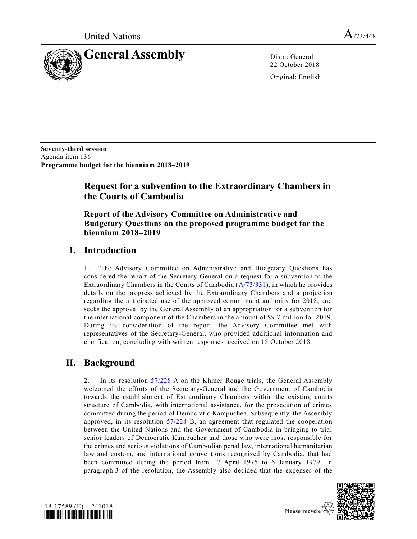

22 October 2018

Original: English

**Seventy-third session** Agenda item 136 **Programme budget for the biennium 2018–2019**

# **Request for a subvention to the Extraordinary Chambers in the Courts of Cambodia**

**Report of the Advisory Committee on Administrative and Budgetary Questions on the proposed programme budget for the biennium 2018–2019**

### **I. Introduction**

1. The Advisory Committee on Administrative and Budgetary Questions has considered the report of the Secretary-General on a request for a subvention to the Extraordinary Chambers in the Courts of Cambodia [\(A/73/331\)](https://undocs.org/A/73/331), in which he provides details on the progress achieved by the Extraordinary Chambers and a projection regarding the anticipated use of the approved commitment authority for 2018, and seeks the approval by the General Assembly of an appropriation for a subvention for the international component of the Chambers in the amount of \$9.7 million for 2 019. During its consideration of the report, the Advisory Committee met with representatives of the Secretary-General, who provided additional information and clarification, concluding with written responses received on 15 October 2018.

# **II. Background**

2. In its resolution [57/228](https://undocs.org/A/RES/57/228) A on the Khmer Rouge trials, the General Assembly welcomed the efforts of the Secretary-General and the Government of Cambodia towards the establishment of Extraordinary Chambers within the existing courts structure of Cambodia, with international assistance, for the prosecution of crimes committed during the period of Democratic Kampuchea. Subsequently, the Assembly approved, in its resolution [57/228](https://undocs.org/A/RES/57/228) B, an agreement that regulated the cooperation between the United Nations and the Government of Cambodia in bringing to trial senior leaders of Democratic Kampuchea and those who were most responsible for the crimes and serious violations of Cambodian penal law, international humanitarian law and custom, and international conventions recognized by Cambodia, that had been committed during the period from 17 April 1975 to 6 January 1979. In paragraph 3 of the resolution, the Assembly also decided that the expenses of the



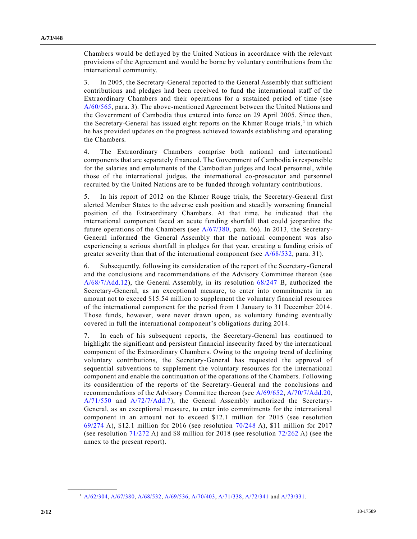Chambers would be defrayed by the United Nations in accordance with the relevant provisions of the Agreement and would be borne by voluntary contributions from the international community.

3. In 2005, the Secretary-General reported to the General Assembly that sufficient contributions and pledges had been received to fund the international staff of the Extraordinary Chambers and their operations for a sustained period of time (see [A/60/565,](https://undocs.org/A/60/565) para. 3). The above-mentioned Agreement between the United Nations and the Government of Cambodia thus entered into force on 29 April 2005. Since then, the Secretary-General has issued eight reports on the Khmer Rouge trials,<sup>1</sup> in which he has provided updates on the progress achieved towards establishing and operating the Chambers.

4. The Extraordinary Chambers comprise both national and international components that are separately financed. The Government of Cambodia is responsible for the salaries and emoluments of the Cambodian judges and local personnel, while those of the international judges, the international co-prosecutor and personnel recruited by the United Nations are to be funded through voluntary contributions.

5. In his report of 2012 on the Khmer Rouge trials, the Secretary-General first alerted Member States to the adverse cash position and steadily worsening financial position of the Extraordinary Chambers. At that time, he indicated that the international component faced an acute funding shortfall that could jeopardize the future operations of the Chambers (see [A/67/380,](https://undocs.org/A/67/380) para. 66). In 2013, the Secretary-General informed the General Assembly that the national component was also experiencing a serious shortfall in pledges for that year, creating a funding crisis of greater severity than that of the international component (see [A/68/532,](https://undocs.org/A/68/532) para. 31).

6. Subsequently, following its consideration of the report of the Secretary-General and the conclusions and recommendations of the Advisory Committee thereon (see [A/68/7/Add.12\)](https://undocs.org/A/68/7/Add.12), the General Assembly, in its resolution [68/247](https://undocs.org/A/RES/68/247) B, authorized the Secretary-General, as an exceptional measure, to enter into commitments in an amount not to exceed \$15.54 million to supplement the voluntary financial resources of the international component for the period from 1 January to 31 December 2014. Those funds, however, were never drawn upon, as voluntary funding eventually covered in full the international component's obligations during 2014.

7. In each of his subsequent reports, the Secretary-General has continued to highlight the significant and persistent financial insecurity faced by the international component of the Extraordinary Chambers. Owing to the ongoing trend of declining voluntary contributions, the Secretary-General has requested the approval of sequential subventions to supplement the voluntary resources for the international component and enable the continuation of the operations of the Chambers. Following its consideration of the reports of the Secretary-General and the conclusions and recommendations of the Advisory Committee thereon (see [A/69/652,](https://undocs.org/A/69/652) [A/70/7/Add.20,](https://undocs.org/A/70/7/Add.20) [A/71/550](https://undocs.org/A/71/550) and [A/72/7/Add.7\)](https://undocs.org/A/72/7/Add.7), the General Assembly authorized the Secretary-General, as an exceptional measure, to enter into commitments for the international component in an amount not to exceed \$12.1 million for 2015 (see resolution [69/274](https://undocs.org/A/RES/69/274) A), \$12.1 million for 2016 (see resolution [70/248](https://undocs.org/A/RES/70/248) A), \$11 million for 2017 (see resolution [71/272](https://undocs.org/A/RES/71/272) A) and \$8 million for 2018 (see resolution [72/262](https://undocs.org/A/RES/72/262) A) (see the annex to the present report).

**\_\_\_\_\_\_\_\_\_\_\_\_\_\_\_\_\_\_**

<sup>1</sup> [A/62/304,](https://undocs.org/A/62/304) [A/67/380,](https://undocs.org/A/67/380) [A/68/532,](https://undocs.org/A/68/532) [A/69/536,](https://undocs.org/A/69/536) [A/70/403,](https://undocs.org/A/70/403) [A/71/338,](https://undocs.org/A/71/338) [A/72/341](https://undocs.org/A/72/341) and [A/73/331.](https://undocs.org/A/73/331)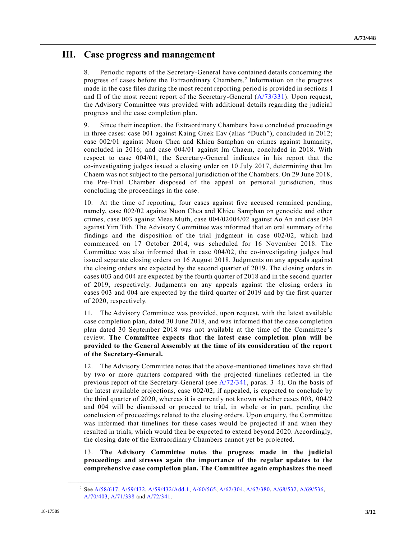# **III. Case progress and management**

8. Periodic reports of the Secretary-General have contained details concerning the progress of cases before the Extraordinary Chambers.<sup>2</sup> Information on the progress made in the case files during the most recent reporting period is provided in sections I and II of the most recent report of the Secretary-General [\(A/73/331\)](https://undocs.org/A/73/331). Upon request, the Advisory Committee was provided with additional details regarding the judicial progress and the case completion plan.

9. Since their inception, the Extraordinary Chambers have concluded proceedings in three cases: case 001 against Kaing Guek Eav (alias "Duch"), concluded in 2012; case 002/01 against Nuon Chea and Khieu Samphan on crimes against humanity, concluded in 2016; and case 004/01 against Im Chaem, concluded in 2018. With respect to case 004/01, the Secretary-General indicates in his report that the co-investigating judges issued a closing order on 10 July 2017, determining that Im Chaem was not subject to the personal jurisdiction of the Chambers. On 29 June 2018, the Pre-Trial Chamber disposed of the appeal on personal jurisdiction, thus concluding the proceedings in the case.

10. At the time of reporting, four cases against five accused remained pending, namely, case 002/02 against Nuon Chea and Khieu Samphan on genocide and other crimes, case 003 against Meas Muth, case [004/020](https://undocs.org/A/RES/004/02)04/02 against Ao An and case 004 against Yim Tith. The Advisory Committee was informed that an oral summary of the findings and the disposition of the trial judgment in case 002/02, which had commenced on 17 October 2014, was scheduled for 16 November 2018. The Committee was also informed that in case 004/02, the co-investigating judges had issued separate closing orders on 16 August 2018. Judgments on any appeals agai nst the closing orders are expected by the second quarter of 2019. The closing orders in cases 003 and 004 are expected by the fourth quarter of 2018 and in the second quarter of 2019, respectively. Judgments on any appeals against the closing orders in cases 003 and 004 are expected by the third quarter of 2019 and by the first quarter of 2020, respectively.

11. The Advisory Committee was provided, upon request, with the latest available case completion plan, dated 30 June 2018, and was informed that the case completion plan dated 30 September 2018 was not available at the time of the Committee 's review. **The Committee expects that the latest case completion plan will be provided to the General Assembly at the time of its consideration of the report of the Secretary-General.**

12. The Advisory Committee notes that the above-mentioned timelines have shifted by two or more quarters compared with the projected timelines reflected in the previous report of the Secretary-General (see [A/72/341,](https://undocs.org/A/72/341) paras. 3–4). On the basis of the latest available projections, case 002/02, if appealed, is expected to conclude by the third quarter of 2020, whereas it is currently not known whether cases 003, 004/2 and 004 will be dismissed or proceed to trial, in whole or in part, pending the conclusion of proceedings related to the closing orders. Upon enquiry, the Committee was informed that timelines for these cases would be projected if and when they resulted in trials, which would then be expected to extend beyond 2020. Accordingly, the closing date of the Extraordinary Chambers cannot yet be projected.

13. **The Advisory Committee notes the progress made in the judicial proceedings and stresses again the importance of the regular updates to the comprehensive case completion plan. The Committee again emphasizes the need** 

**\_\_\_\_\_\_\_\_\_\_\_\_\_\_\_\_\_\_**

<sup>2</sup> Se[e A/58/617,](https://undocs.org/A/58/617) [A/59/432,](https://undocs.org/A/59/432) [A/59/432/Add.1,](https://undocs.org/A/59/432/Add.1) [A/60/565,](https://undocs.org/A/60/565) [A/62/304,](https://undocs.org/A/62/304) [A/67/380,](https://undocs.org/A/67/380) [A/68/532,](https://undocs.org/A/68/532) [A/69/536,](https://undocs.org/A/69/536)  [A/70/403,](https://undocs.org/A/70/403) [A/71/338](https://undocs.org/A/71/338) an[d A/72/341.](https://undocs.org/A/72/341)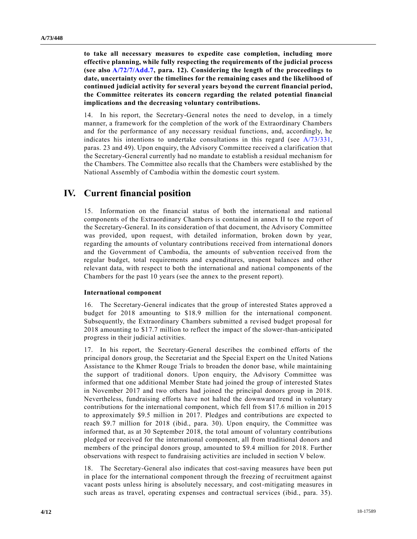**to take all necessary measures to expedite case completion, including more effective planning, while fully respecting the requirements of the judicial process (see also [A/72/7/Add.7,](https://undocs.org/A/72/7/Add.7) para. 12). Considering the length of the proceedings to date, uncertainty over the timelines for the remaining cases and the likelihood of continued judicial activity for several years beyond the current financial period, the Committee reiterates its concern regarding the related potential financial implications and the decreasing voluntary contributions.**

14. In his report, the Secretary-General notes the need to develop, in a timely manner, a framework for the completion of the work of the Extraordinary Chambers and for the performance of any necessary residual functions, and, accordingly, he indicates his intentions to undertake consultations in this regard (see [A/73/331,](https://undocs.org/A/73/331) paras. 23 and 49). Upon enquiry, the Advisory Committee received a clarification that the Secretary-General currently had no mandate to establish a residual mechanism for the Chambers. The Committee also recalls that the Chambers were established by the National Assembly of Cambodia within the domestic court system.

### **IV. Current financial position**

15. Information on the financial status of both the international and national components of the Extraordinary Chambers is contained in annex II to the report of the Secretary-General. In its consideration of that document, the Advisory Committee was provided, upon request, with detailed information, broken down by year, regarding the amounts of voluntary contributions received from international donors and the Government of Cambodia, the amounts of subvention received from the regular budget, total requirements and expenditures, unspent balances and other relevant data, with respect to both the international and national components of the Chambers for the past 10 years (see the annex to the present report).

#### **International component**

16. The Secretary-General indicates that the group of interested States approved a budget for 2018 amounting to \$18.9 million for the international component. Subsequently, the Extraordinary Chambers submitted a revised budget proposal for 2018 amounting to \$17.7 million to reflect the impact of the slower-than-anticipated progress in their judicial activities.

17. In his report, the Secretary-General describes the combined efforts of the principal donors group, the Secretariat and the Special Expert on the United Nations Assistance to the Khmer Rouge Trials to broaden the donor base, while maintaining the support of traditional donors. Upon enquiry, the Advisory Committee was informed that one additional Member State had joined the group of interested States in November 2017 and two others had joined the principal donors group in 2018. Nevertheless, fundraising efforts have not halted the downward trend in voluntary contributions for the international component, which fell from \$17.6 million in 2015 to approximately \$9.5 million in 2017. Pledges and contributions are expected to reach \$9.7 million for 2018 (ibid., para. 30). Upon enquiry, the Committee was informed that, as at 30 September 2018, the total amount of voluntary contributions pledged or received for the international component, all from traditional donors and members of the principal donors group, amounted to \$9.4 million for 2018. Further observations with respect to fundraising activities are included in section V below.

18. The Secretary-General also indicates that cost-saving measures have been put in place for the international component through the freezing of recruitment against vacant posts unless hiring is absolutely necessary, and cost-mitigating measures in such areas as travel, operating expenses and contractual services (ibid., para. 35).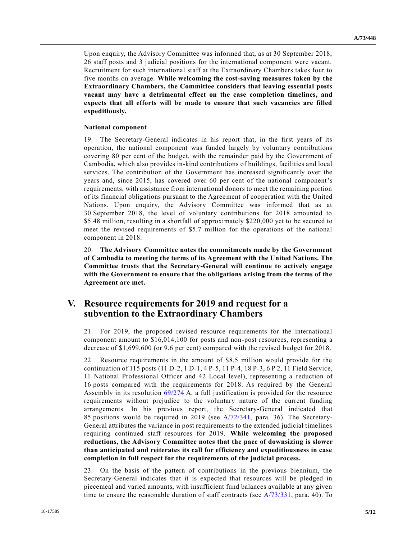Upon enquiry, the Advisory Committee was informed that, as at 30 September 2018, 26 staff posts and 3 judicial positions for the international component were vacant. Recruitment for such international staff at the Extraordinary Chambers takes four to five months on average. **While welcoming the cost-saving measures taken by the Extraordinary Chambers, the Committee considers that leaving essential posts vacant may have a detrimental effect on the case completion timelines, and expects that all efforts will be made to ensure that such vacancies are filled expeditiously.**

#### **National component**

19. The Secretary-General indicates in his report that, in the first years of its operation, the national component was funded largely by voluntary contributions covering 80 per cent of the budget, with the remainder paid by the Government of Cambodia, which also provides in-kind contributions of buildings, facilities and local services. The contribution of the Government has increased significantly over the years and, since 2015, has covered over 60 per cent of the national component's requirements, with assistance from international donors to meet the remaining portion of its financial obligations pursuant to the Agreement of cooperation with the United Nations. Upon enquiry, the Advisory Committee was informed that as at 30 September 2018, the level of voluntary contributions for 2018 amounted to \$5.48 million, resulting in a shortfall of approximately \$220,000 yet to be secured to meet the revised requirements of \$5.7 million for the operations of the national component in 2018.

20. **The Advisory Committee notes the commitments made by the Government of Cambodia to meeting the terms of its Agreement with the United Nations. The Committee trusts that the Secretary-General will continue to actively engage with the Government to ensure that the obligations arising from the terms of the Agreement are met.**

### **V. Resource requirements for 2019 and request for a subvention to the Extraordinary Chambers**

21. For 2019, the proposed revised resource requirements for the international component amount to \$16,014,100 for posts and non-post resources, representing a decrease of \$1,699,600 (or 9.6 per cent) compared with the revised budget for 2018.

22. Resource requirements in the amount of \$8.5 million would provide for the continuation of 115 posts (11 D-2, 1 D-1, 4 P-5, 11 P-4, 18 P-3, 6 P 2, 11 Field Service, 11 National Professional Officer and 42 Local level), representing a reduction of 16 posts compared with the requirements for 2018. As required by the General Assembly in its resolution [69/274](https://undocs.org/A/RES/69/274) A, a full justification is provided for the resource requirements without prejudice to the voluntary nature of the current funding arrangements. In his previous report, the Secretary-General indicated that 85 positions would be required in 2019 (see [A/72/341,](https://undocs.org/A/72/341) para. 36). The Secretary-General attributes the variance in post requirements to the extended judicial timelines requiring continued staff resources for 2019. **While welcoming the proposed reductions, the Advisory Committee notes that the pace of downsizing is slower than anticipated and reiterates its call for efficiency and expeditiousness in case completion in full respect for the requirements of the judicial process.**

23. On the basis of the pattern of contributions in the previous biennium, the Secretary-General indicates that it is expected that resources will be pledged in piecemeal and varied amounts, with insufficient fund balances available at any given time to ensure the reasonable duration of staff contracts (see [A/73/331,](https://undocs.org/A/73/331) para. 40). To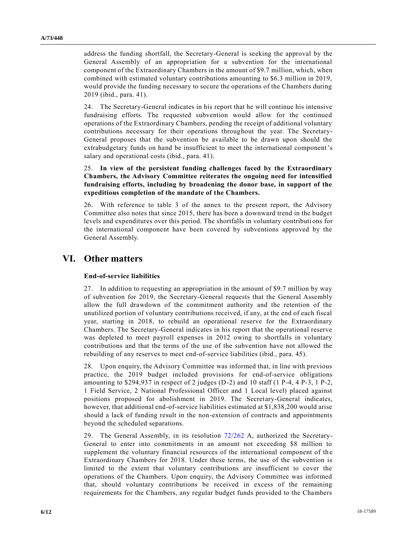address the funding shortfall, the Secretary-General is seeking the approval by the General Assembly of an appropriation for a subvention for the international component of the Extraordinary Chambers in the amount of \$9.7 million, which, when combined with estimated voluntary contributions amounting to \$6.3 million in 2019, would provide the funding necessary to secure the operations of the Chambers during 2019 (ibid., para. 41).

24. The Secretary-General indicates in his report that he will continue his intensive fundraising efforts. The requested subvention would allow for the continued operations of the Extraordinary Chambers, pending the receipt of additional voluntary contributions necessary for their operations throughout the year. The Secretary-General proposes that the subvention be available to be drawn upon should the extrabudgetary funds on hand be insufficient to meet the international component's salary and operational costs (ibid., para. 41).

25. **In view of the persistent funding challenges faced by the Extraordinary Chambers, the Advisory Committee reiterates the ongoing need for intensified fundraising efforts, including by broadening the donor base, in support of the expeditious completion of the mandate of the Chambers.**

26. With reference to table 3 of the annex to the present report, the Advisory Committee also notes that since 2015, there has been a downward trend in the budget levels and expenditures over this period. The shortfalls in voluntary contributi ons for the international component have been covered by subventions approved by the General Assembly.

# **VI. Other matters**

### **End-of-service liabilities**

27. In addition to requesting an appropriation in the amount of \$9.7 million by way of subvention for 2019, the Secretary-General requests that the General Assembly allow the full drawdown of the commitment authority and the retention of the unutilized portion of voluntary contributions received, if any, at the end of each fiscal year, starting in 2018, to rebuild an operational reserve for the Extraordinary Chambers. The Secretary-General indicates in his report that the operational reserve was depleted to meet payroll expenses in 2012 owing to shortfalls in voluntary contributions and that the terms of the use of the subvention have not allowed the rebuilding of any reserves to meet end-of-service liabilities (ibid., para. 45).

28. Upon enquiry, the Advisory Committee was informed that, in line with previous practice, the 2019 budget included provisions for end-of-service obligations amounting to  $$294,937$  in respect of 2 judges (D-2) and 10 staff (1 P-4, 4 P-3, 1 P-2, 1 Field Service, 2 National Professional Officer and 1 Local level) placed against positions proposed for abolishment in 2019. The Secretary-General indicates, however, that additional end-of-service liabilities estimated at \$1,838,200 would arise should a lack of funding result in the non-extension of contracts and appointments beyond the scheduled separations.

29. The General Assembly, in its resolution [72/262](https://undocs.org/A/RES/72/262) A, authorized the Secretary-General to enter into commitments in an amount not exceeding \$8 million to supplement the voluntary financial resources of the international component of the Extraordinary Chambers for 2018. Under these terms, the use of the subvention is limited to the extent that voluntary contributions are insufficient to cover the operations of the Chambers. Upon enquiry, the Advisory Committee was informed that, should voluntary contributions be received in excess of the remaining requirements for the Chambers, any regular budget funds provided to the Chambers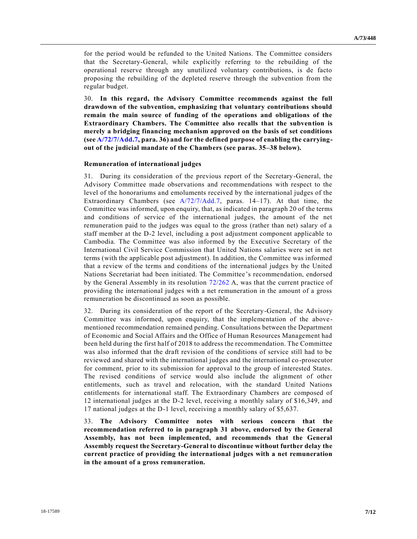for the period would be refunded to the United Nations. The Committee considers that the Secretary-General, while explicitly referring to the rebuilding of the operational reserve through any unutilized voluntary contributions, is de facto proposing the rebuilding of the depleted reserve through the subvention from the regular budget.

30. **In this regard, the Advisory Committee recommends against the full drawdown of the subvention, emphasizing that voluntary contributions should remain the main source of funding of the operations and obligations of the Extraordinary Chambers. The Committee also recalls that the subvention is merely a bridging financing mechanism approved on the basis of set conditions (se[e A/72/7/Add.7,](https://undocs.org/A/72/7/Add.7) para. 36) and for the defined purpose of enabling the carryingout of the judicial mandate of the Chambers (see paras. 35–38 below).**

#### **Remuneration of international judges**

31. During its consideration of the previous report of the Secretary-General, the Advisory Committee made observations and recommendations with respect to the level of the honorariums and emoluments received by the international judges of the Extraordinary Chambers (see [A/72/7/Add.7,](https://undocs.org/A/72/7/Add.7) paras. 14–17). At that time, the Committee was informed, upon enquiry, that, as indicated in paragraph 20 of the terms and conditions of service of the international judges, the amount of the net remuneration paid to the judges was equal to the gross (rather than net) salary of a staff member at the D-2 level, including a post adjustment component applicable to Cambodia. The Committee was also informed by the Executive Secretary of the International Civil Service Commission that United Nations salaries were set in net terms (with the applicable post adjustment). In addition, the Committee was informed that a review of the terms and conditions of the international judges by the United Nations Secretariat had been initiated. The Committee's recommendation, endorsed by the General Assembly in its resolution [72/262](https://undocs.org/A/RES/72/262) A, was that the current practice of providing the international judges with a net remuneration in the amount of a gross remuneration be discontinued as soon as possible.

32. During its consideration of the report of the Secretary-General, the Advisory Committee was informed, upon enquiry, that the implementation of the above mentioned recommendation remained pending. Consultations between the Department of Economic and Social Affairs and the Office of Human Resources Management had been held during the first half of 2018 to address the recommendation. The Committee was also informed that the draft revision of the conditions of service still had to be reviewed and shared with the international judges and the international co -prosecutor for comment, prior to its submission for approval to the group of interested States. The revised conditions of service would also include the alignment of other entitlements, such as travel and relocation, with the standard United Nations entitlements for international staff. The Extraordinary Chambers are composed of 12 international judges at the D-2 level, receiving a monthly salary of \$16,349, and 17 national judges at the D-1 level, receiving a monthly salary of \$5,637.

33. **The Advisory Committee notes with serious concern that the recommendation referred to in paragraph 31 above, endorsed by the General Assembly, has not been implemented, and recommends that the General Assembly request the Secretary-General to discontinue without further delay the current practice of providing the international judges with a net remuneration in the amount of a gross remuneration.**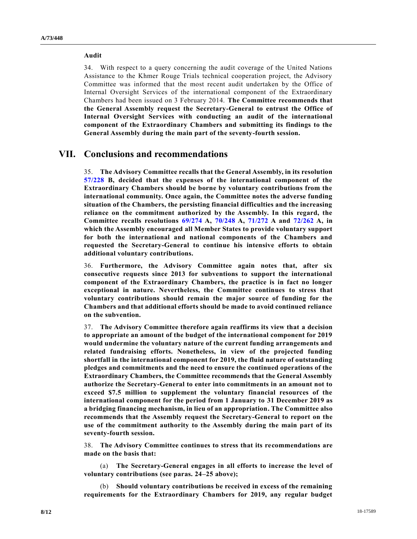### **Audit**

34. With respect to a query concerning the audit coverage of the United Nations Assistance to the Khmer Rouge Trials technical cooperation project, the Advisory Committee was informed that the most recent audit undertaken by the Office of Internal Oversight Services of the international component of the Extraordinary Chambers had been issued on 3 February 2014. **The Committee recommends that the General Assembly request the Secretary-General to entrust the Office of Internal Oversight Services with conducting an audit of the international component of the Extraordinary Chambers and submitting its findings to the General Assembly during the main part of the seventy-fourth session.**

### **VII. Conclusions and recommendations**

35. **The Advisory Committee recalls that the General Assembly, in its resolution [57/228](https://undocs.org/A/RES/57/228) B, decided that the expenses of the international component of the Extraordinary Chambers should be borne by voluntary contributions from the international community. Once again, the Committee notes the adverse funding situation of the Chambers, the persisting financial difficulties and the increasing reliance on the commitment authorized by the Assembly. In this regard, the Committee recalls resolutions [69/274](https://undocs.org/A/RES/69/274) A, [70/248](https://undocs.org/A/RES/70/248) A, [71/272](https://undocs.org/A/RES/71/272) A and [72/262](https://undocs.org/A/RES/72/262) A, in which the Assembly encouraged all Member States to provide voluntary support for both the international and national components of the Chambers and requested the Secretary-General to continue his intensive efforts to obtain additional voluntary contributions.**

36. **Furthermore, the Advisory Committee again notes that, after six consecutive requests since 2013 for subventions to support the international component of the Extraordinary Chambers, the practice is in fact no longer exceptional in nature. Nevertheless, the Committee continues to stress that voluntary contributions should remain the major source of funding for the Chambers and that additional efforts should be made to avoid continued reliance on the subvention.**

37. **The Advisory Committee therefore again reaffirms its view that a decision to appropriate an amount of the budget of the international component for 2019 would undermine the voluntary nature of the current funding arrangements and related fundraising efforts. Nonetheless, in view of the projected funding shortfall in the international component for 2019, the fluid nature of outstanding pledges and commitments and the need to ensure the continued operations of the Extraordinary Chambers, the Committee recommends that the General Assembly authorize the Secretary-General to enter into commitments in an amount not to exceed \$7.5 million to supplement the voluntary financial resources of the international component for the period from 1 January to 31 December 2019 as a bridging financing mechanism, in lieu of an appropriation. The Committee also recommends that the Assembly request the Secretary-General to report on the use of the commitment authority to the Assembly during the main part of its seventy-fourth session.**

38. **The Advisory Committee continues to stress that its recommendations are made on the basis that:**

(a) **The Secretary-General engages in all efforts to increase the level of voluntary contributions (see paras. 24–25 above);**

(b) **Should voluntary contributions be received in excess of the remaining requirements for the Extraordinary Chambers for 2019, any regular budget**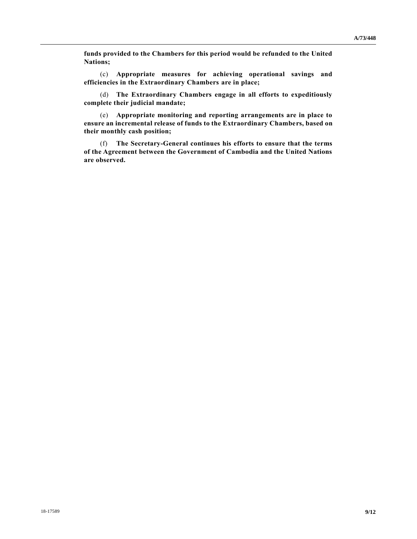**funds provided to the Chambers for this period would be refunded to the United Nations;**

(c) **Appropriate measures for achieving operational savings and efficiencies in the Extraordinary Chambers are in place;**

(d) **The Extraordinary Chambers engage in all efforts to expeditiously complete their judicial mandate;**

(e) **Appropriate monitoring and reporting arrangements are in place to ensure an incremental release of funds to the Extraordinary Chambers, based on their monthly cash position;**

(f) **The Secretary-General continues his efforts to ensure that the terms of the Agreement between the Government of Cambodia and the United Nations are observed.**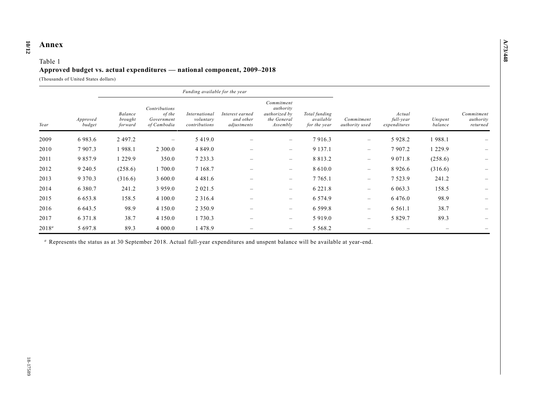#### **10 /12 Annex**

### Table 1 **Approved budget vs. actual expenditures — national component, 2009–2018**

(Thousands of United States dollars)

|          | Approved<br>budget | Funding available for the year |                                                      |                                             |                                             |                                                                     |                                            |                              |                                     |                    |                                     |
|----------|--------------------|--------------------------------|------------------------------------------------------|---------------------------------------------|---------------------------------------------|---------------------------------------------------------------------|--------------------------------------------|------------------------------|-------------------------------------|--------------------|-------------------------------------|
| Year     |                    | Balance<br>brought<br>forward  | Contributions<br>of the<br>Government<br>of Cambodia | International<br>voluntary<br>contributions | Interest earned<br>and other<br>adjustments | Commitment<br>authority<br>authorized by<br>the General<br>Assembly | Total funding<br>available<br>for the year | Commitment<br>authority used | Actual<br>full-year<br>expenditures | Unspent<br>balance | Commitment<br>authority<br>returned |
| 2009     | 6983.6             | 2 497.2                        | $\overline{\phantom{0}}$                             | 5 4 1 9 .0                                  |                                             | $\overline{\phantom{m}}$                                            | 7916.3                                     | $\overline{\phantom{0}}$     | 5 9 28.2                            | 1988.1             |                                     |
| 2010     | 7907.3             | 1988.1                         | 2 300.0                                              | 4 8 4 9 .0                                  |                                             | $\qquad \qquad -$                                                   | 9 1 3 7 . 1                                | $\overline{\phantom{m}}$     | 7 907.2                             | 1 2 2 9 . 9        |                                     |
| 2011     | 9 8 5 7 . 9        | 1 2 2 9 . 9                    | 350.0                                                | 7 2 3 3 . 3                                 | $\hspace{0.1mm}-\hspace{0.1mm}$             | $\overline{\phantom{m}}$                                            | 8 8 1 3 . 2                                | $\overline{\phantom{m}}$     | 9 0 7 1 .8                          | (258.6)            |                                     |
| 2012     | 9 2 4 0 .5         | (258.6)                        | 1 700.0                                              | 7 1 68.7                                    | $\qquad \qquad$                             | $\overline{\phantom{m}}$                                            | 8 6 1 0 .0                                 | $\qquad \qquad -$            | 8 9 2 6 . 6                         | (316.6)            | $\overline{\phantom{m}}$            |
| 2013     | 9 3 7 0 . 3        | (316.6)                        | 3 600.0                                              | 4 4 8 1 .6                                  |                                             | $\qquad \qquad -$                                                   | 7 7 6 5 .1                                 | $\overline{\phantom{m}}$     | 7 5 2 3 . 9                         | 241.2              |                                     |
| 2014     | 6 3 8 0 . 7        | 241.2                          | 3 9 5 9 . 0                                          | 2 0 2 1 .5                                  |                                             | $\overline{\phantom{m}}$                                            | 6 2 2 1 . 8                                | $\qquad \qquad$              | 6 0 6 3 . 3                         | 158.5              |                                     |
| 2015     | 6 6 5 3 . 8        | 158.5                          | 4 100.0                                              | 2 3 1 6 .4                                  | $\qquad \qquad$                             | $\qquad \qquad -$                                                   | 6 5 7 4 .9                                 | $\qquad \qquad$              | 6 4 7 6 .0                          | 98.9               |                                     |
| 2016     | 6 643.5            | 98.9                           | 4 1 5 0 .0                                           | 2 3 5 0 . 9                                 |                                             | $\overline{\phantom{m}}$                                            | 6 5 9 9 . 8                                | $\overline{\phantom{m}}$     | 6 5 6 1 . 1                         | 38.7               |                                     |
| 2017     | 6 3 7 1 .8         | 38.7                           | 4 1 5 0 .0                                           | 1 730.3                                     |                                             | $\qquad \qquad -$                                                   | 5 9 1 9 .0                                 | $\qquad \qquad$              | 5 8 2 9 . 7                         | 89.3               |                                     |
| $2018^a$ | 5 697.8            | 89.3                           | 4 000.0                                              | 1478.9                                      |                                             | $\overline{\phantom{a}}$                                            | 5 5 6 8 .2                                 |                              |                                     |                    |                                     |

*<sup>a</sup>* Represents the status as at 30 September 2018. Actual full-year expenditures and unspent balance will be available at year-end.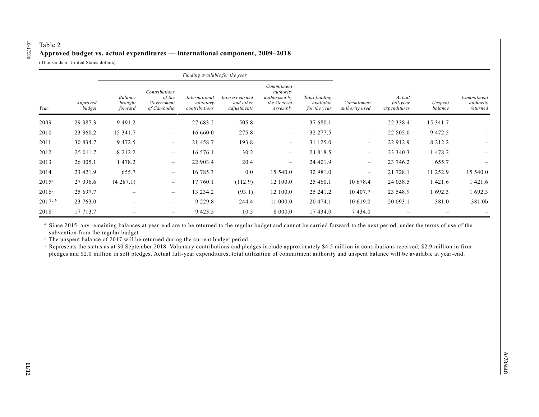# Table 2 **Approved budget vs. actual expenditures — international component, 2009–2018**

(Thousands of United States dollars)

18-17589

18-17589

|              | Approved<br>budget | Funding available for the year |                                                      |                                             |                                             |                                                                     |                                            |                              |                                     |                    |                                     |
|--------------|--------------------|--------------------------------|------------------------------------------------------|---------------------------------------------|---------------------------------------------|---------------------------------------------------------------------|--------------------------------------------|------------------------------|-------------------------------------|--------------------|-------------------------------------|
| Year         |                    | Balance<br>brought<br>forward  | Contributions<br>of the<br>Government<br>of Cambodia | International<br>voluntary<br>contributions | Interest earned<br>and other<br>adjustments | Commitment<br>authority<br>authorized by<br>the General<br>Assembly | Total funding<br>available<br>for the year | Commitment<br>authority used | Actual<br>full-year<br>expenditures | Unspent<br>balance | Commitment<br>authority<br>returned |
| 2009         | 29 387.3           | 9 4 9 1 .2                     | $\qquad \qquad -$                                    | 27 683.2                                    | 505.8                                       | $\overline{\phantom{m}}$                                            | 37 680.1                                   |                              | 22 338.4                            | 15 341.7           |                                     |
| 2010         | 23 360.2           | 15 341.7                       |                                                      | 16 660.0                                    | 275.8                                       | $\overline{\phantom{m}}$                                            | 32 277.5                                   | $\qquad \qquad -$            | 22 805.0                            | 9 4 7 2.5          |                                     |
| 2011         | 30 834.7           | 9 4 7 2.5                      |                                                      | 21 458.7                                    | 193.8                                       | $\overline{\phantom{m}}$                                            | 31 125.0                                   | $\qquad \qquad -$            | 22 912.9                            | 8 2 1 2 . 2        |                                     |
| 2012         | 25 011.7           | 8 2 1 2 . 2                    | $\overline{\phantom{0}}$                             | 16 576.1                                    | 30.2                                        | $\overline{\phantom{m}}$                                            | 24 818.5                                   | $\qquad \qquad -$            | 23 340.3                            | 1478.2             |                                     |
| 2013         | 26 005.1           | 1478.2                         | $\overline{\phantom{0}}$                             | 22 903.4                                    | 20.4                                        | $\overline{\phantom{m}}$                                            | 24 401.9                                   | $\qquad \qquad -$            | 23 746.2                            | 655.7              |                                     |
| 2014         | 23 421.9           | 655.7                          | $\overline{\phantom{m}}$                             | 16 785.3                                    | 0.0                                         | 15 540.0                                                            | 32 981.0                                   | $\qquad \qquad -$            | 21 728.1                            | 11 252.9           | 15 540.0                            |
| $2015^a$     | 27 096.6           | (4287.1)                       | $\qquad \qquad -$                                    | 17 760.1                                    | (112.9)                                     | 12 100.0                                                            | 25 460.1                                   | 10 678.4                     | 24 038.5                            | 1421.6             | 1 4 2 1 .6                          |
| $2016^a$     | 25 697.7           |                                | $\overline{\phantom{m}}$                             | 13 234.2                                    | (93.1)                                      | 12 100.0                                                            | 25 241.2                                   | 10 407.7                     | 23 548.9                            | 1692.3             | 1 692.3                             |
| $2017^{a,b}$ | 23 763.0           |                                | $\qquad \qquad \overline{\qquad \qquad }$            | 9 2 2 9 . 8                                 | 244.4                                       | 11 000.0                                                            | 20 474.1                                   | 10 619.0                     | 20 093.1                            | 381.0              | 381.0b                              |
| $2018^{a,c}$ | 17 713.7           |                                | $\qquad \qquad \overline{\qquad \qquad }$            | 9 4 2 3 . 5                                 | 10.5                                        | 8 000.0                                                             | 17 434.0                                   | 7434.0                       |                                     |                    |                                     |

*<sup>a</sup>* Since 2015, any remaining balances at year-end are to be returned to the regular budget and cannot be carried forward to the next period, under the terms of use of the subvention from the regular budget.

*b* The unspent balance of 2017 will be returned during the current budget period.

*<sup>c</sup>* Represents the status as at 30 September 2018. Voluntary contributions and pledges include approximately \$4.5 million in contributions received, \$2.9 million in firm pledges and \$2.0 million in soft pledges. Actual full-year expenditures, total utilization of commitment authority and unspent balance will be available at year-end.